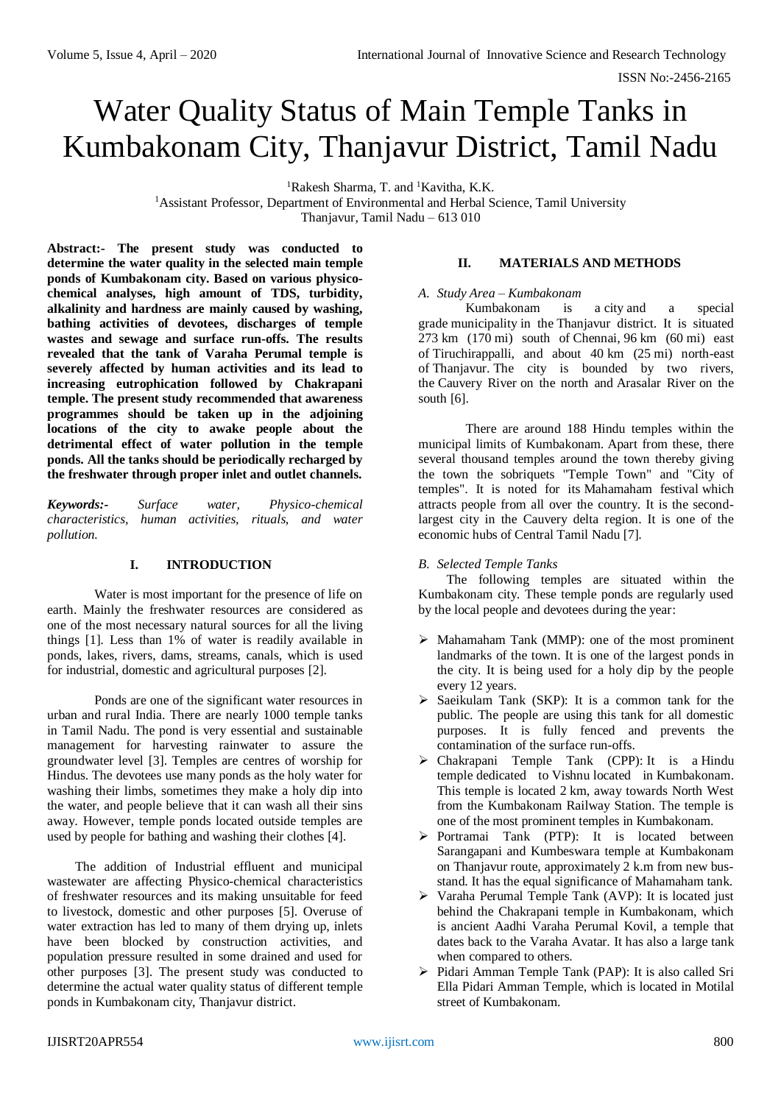# Water Quality Status of Main Temple Tanks in Kumbakonam City, Thanjavur District, Tamil Nadu

<sup>1</sup>Rakesh Sharma, T. and <sup>1</sup>Kavitha, K.K.

<sup>1</sup>Assistant Professor, Department of Environmental and Herbal Science, Tamil University Thanjavur, Tamil Nadu – 613 010

**Abstract:- The present study was conducted to determine the water quality in the selected main temple ponds of Kumbakonam city. Based on various physicochemical analyses, high amount of TDS, turbidity, alkalinity and hardness are mainly caused by washing, bathing activities of devotees, discharges of temple wastes and sewage and surface run-offs. The results revealed that the tank of Varaha Perumal temple is severely affected by human activities and its lead to increasing eutrophication followed by Chakrapani temple. The present study recommended that awareness programmes should be taken up in the adjoining locations of the city to awake people about the detrimental effect of water pollution in the temple ponds. All the tanks should be periodically recharged by the freshwater through proper inlet and outlet channels.**

*Keywords:- Surface water, Physico-chemical characteristics, human activities, rituals, and water pollution.*

## **I. INTRODUCTION**

Water is most important for the presence of life on earth. Mainly the freshwater resources are considered as one of the most necessary natural sources for all the living things [1]. Less than 1% of water is readily available in ponds, lakes, rivers, dams, streams, canals, which is used for industrial, domestic and agricultural purposes [2].

Ponds are one of the significant water resources in urban and rural India. There are nearly 1000 temple tanks in Tamil Nadu. The pond is very essential and sustainable management for harvesting rainwater to assure the groundwater level [3]. Temples are centres of worship for Hindus. The devotees use many ponds as the holy water for washing their limbs, sometimes they make a holy dip into the water, and people believe that it can wash all their sins away. However, temple ponds located outside temples are used by people for bathing and washing their clothes [4].

The addition of Industrial effluent and municipal wastewater are affecting Physico-chemical characteristics of freshwater resources and its making unsuitable for feed to livestock, domestic and other purposes [5]. Overuse of water extraction has led to many of them drying up, inlets have been blocked by construction activities, and population pressure resulted in some drained and used for other purposes [3]. The present study was conducted to determine the actual water quality status of different temple ponds in Kumbakonam city, Thanjavur district.

#### **II. MATERIALS AND METHODS**

#### *A. Study Area – Kumbakonam*

Kumbakonam is a [city](https://en.wikipedia.org/wiki/City) and a special grade [municipality](https://en.wikipedia.org/wiki/Municipality) in the Thanjavur district. It is situated 273 km (170 mi) south of [Chennai,](https://en.wikipedia.org/wiki/Chennai) 96 km (60 mi) east of Tiruchirappalli, and about 40 km (25 mi) north-east of Thanjavur. The city is bounded by two rivers, the Cauvery River on the north and Arasalar River on the south [6].

There are around 188 Hindu temples within the municipal limits of Kumbakonam. Apart from these, there several thousand temples around the town thereby giving the town the sobriquets "Temple Town" and "City of temples". It is noted for its Mahamaham festival which attracts people from all over the country. It is the secondlargest city in the Cauvery delta region. It is one of the economic hubs of Central Tamil Nadu [7].

#### *B. Selected Temple Tanks*

The following temples are situated within the Kumbakonam city. These temple ponds are regularly used by the local people and devotees during the year:

- $\triangleright$  Mahamaham Tank (MMP): one of the most prominent landmarks of the town. It is one of the largest ponds in the city. It is being used for a holy dip by the people every 12 years.
- $\triangleright$  Saeikulam Tank (SKP): It is a common tank for the public. The people are using this tank for all domestic purposes. It is fully fenced and prevents the contamination of the surface run-offs.
- Chakrapani Temple Tank (CPP): It is a Hindu temple dedicated to Vishnu located in Kumbakonam. This temple is located 2 km, away towards North West from the Kumbakonam Railway Station. The temple is one of the most prominent temples in Kumbakonam.
- > Portramai Tank (PTP): It is located between Sarangapani and Kumbeswara temple at Kumbakonam on Thanjavur route, approximately 2 k.m from new busstand. It has the equal significance of Mahamaham tank.
- Varaha Perumal Temple Tank (AVP): It is located just behind the Chakrapani temple in Kumbakonam, which is ancient Aadhi Varaha Perumal Kovil, a temple that dates back to the Varaha Avatar. It has also a large tank when compared to others.
- Pidari Amman Temple Tank (PAP): It is also called Sri Ella Pidari Amman Temple, which is located in Motilal street of Kumbakonam.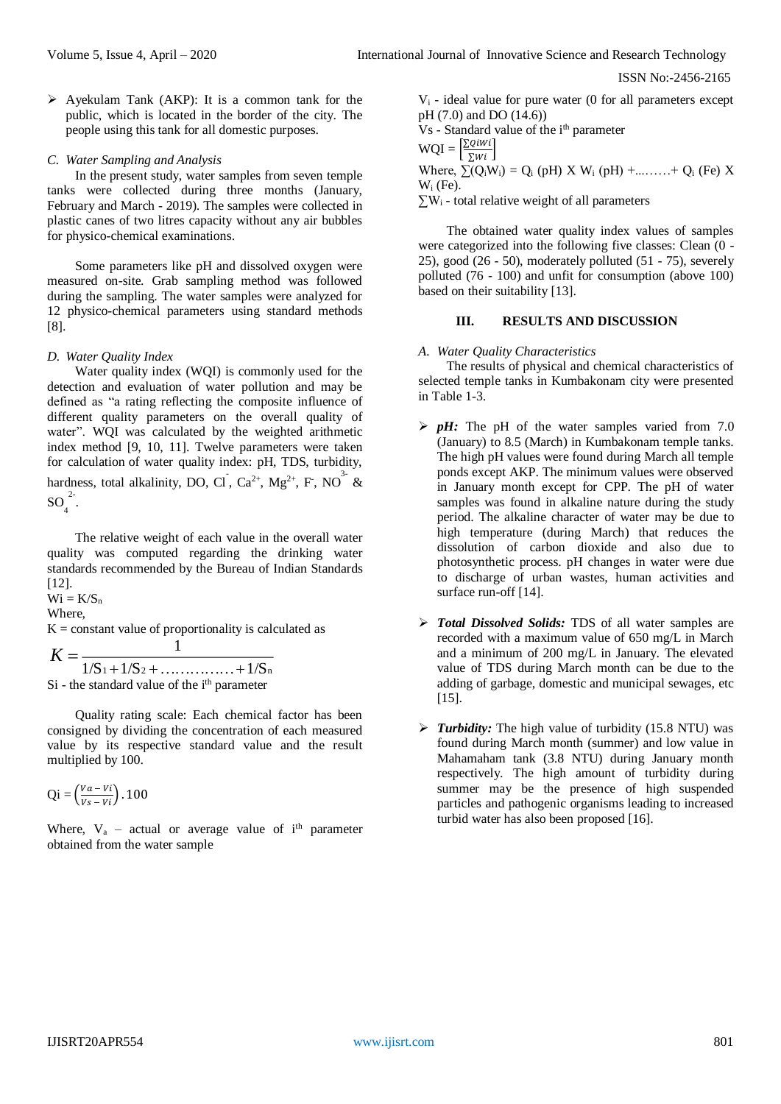$\triangleright$  Ayekulam Tank (AKP): It is a common tank for the public, which is located in the border of the city. The people using this tank for all domestic purposes.

#### *C. Water Sampling and Analysis*

In the present study, water samples from seven temple tanks were collected during three months (January, February and March - 2019). The samples were collected in plastic canes of two litres capacity without any air bubbles for physico-chemical examinations.

Some parameters like pH and dissolved oxygen were measured on-site. Grab sampling method was followed during the sampling. The water samples were analyzed for 12 physico-chemical parameters using standard methods [8].

#### *D. Water Quality Index*

Water quality index (WOI) is commonly used for the detection and evaluation of water pollution and may be defined as "a rating reflecting the composite influence of different quality parameters on the overall quality of water". WQI was calculated by the weighted arithmetic index method [9, 10, 11]. Twelve parameters were taken for calculation of water quality index: pH, TDS, turbidity, hardness, total alkalinity, DO, Cl, Ca<sup>2+</sup>, Mg<sup>2+</sup>, F, NO<sup>3-</sup> &  $SO_4^{2}$ .

The relative weight of each value in the overall water quality was computed regarding the drinking water standards recommended by the Bureau of Indian Standards [12].

 $Wi = K/S_n$ 

Where,

 $K = constant$  value of proportionality is calculated as

 $1/S_1 + 1/S_2 + \ldots + 1/S_n$ 1  $K =$ Si - the standard value of the i<sup>th</sup> parameter

Quality rating scale: Each chemical factor has been consigned by dividing the concentration of each measured value by its respective standard value and the result multiplied by 100.

$$
Qi = \left(\frac{Va - Vi}{Vs - Vi}\right).100
$$

Where,  $V_a$  – actual or average value of i<sup>th</sup> parameter obtained from the water sample

 $V_i$  - ideal value for pure water (0 for all parameters except pH (7.0) and DO (14.6)) Vs - Standard value of the i<sup>th</sup> parameter

$$
WQI = \left[\frac{\sum_{i} i}{\sum_{i} w_{i}}\right]
$$
  
Where,  $\sum (Q_{i}W_{i}) = Q_{i}$  (pH) X W<sub>i</sub> (pH) +........+ Q<sub>i</sub> (Fe) X  
W<sub>i</sub> (Fe).  
 $\sum W_{i}$  - total relative weight of all parameters

The obtained water quality index values of samples were categorized into the following five classes: Clean (0 - 25), good (26 - 50), moderately polluted (51 - 75), severely polluted (76 - 100) and unfit for consumption (above 100) based on their suitability [13].

# **III. RESULTS AND DISCUSSION**

#### *A. Water Quality Characteristics*

The results of physical and chemical characteristics of selected temple tanks in Kumbakonam city were presented in Table 1-3.

- $\triangleright$  *pH:* The pH of the water samples varied from 7.0 (January) to 8.5 (March) in Kumbakonam temple tanks. The high pH values were found during March all temple ponds except AKP. The minimum values were observed in January month except for CPP. The pH of water samples was found in alkaline nature during the study period. The alkaline character of water may be due to high temperature (during March) that reduces the dissolution of carbon dioxide and also due to photosynthetic process. pH changes in water were due to discharge of urban wastes, human activities and surface run-off [14].
- *Total Dissolved Solids:* TDS of all water samples are recorded with a maximum value of 650 mg/L in March and a minimum of 200 mg/L in January. The elevated value of TDS during March month can be due to the adding of garbage, domestic and municipal sewages, etc [15].
- *Turbidity:* The high value of turbidity (15.8 NTU) was found during March month (summer) and low value in Mahamaham tank (3.8 NTU) during January month respectively. The high amount of turbidity during summer may be the presence of high suspended particles and pathogenic organisms leading to increased turbid water has also been proposed [16].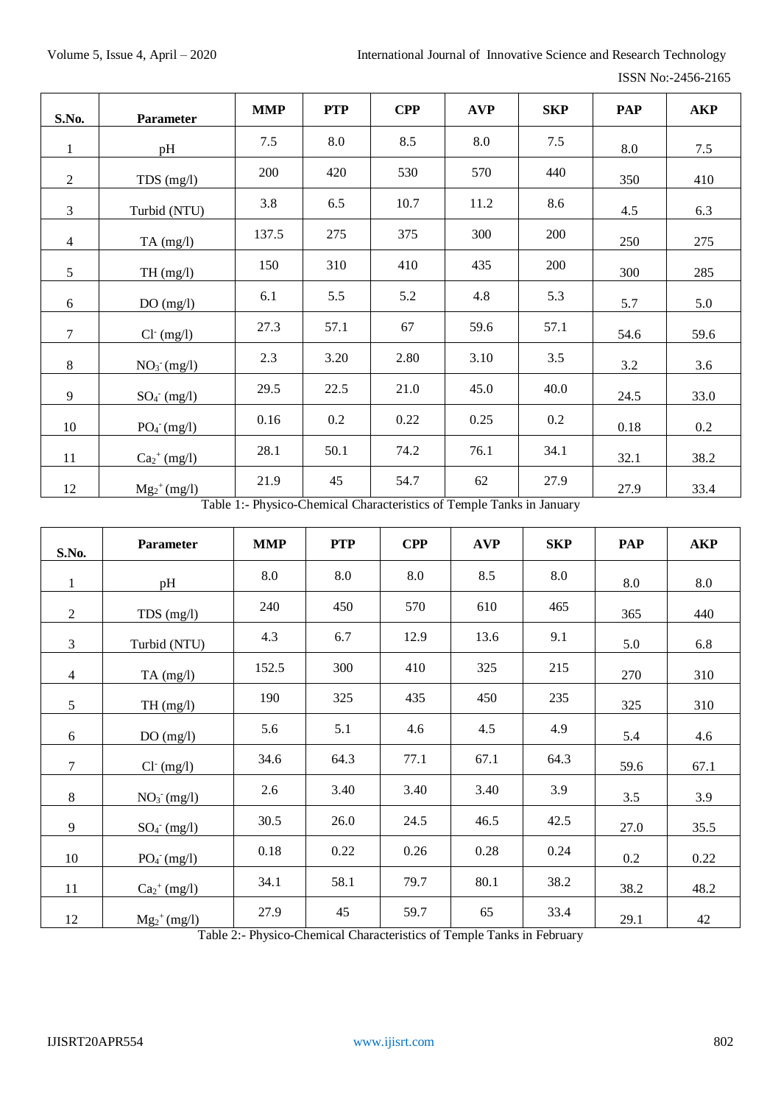| S.No.          | Parameter                  | <b>MMP</b> | <b>PTP</b> | <b>CPP</b> | <b>AVP</b> | <b>SKP</b> | <b>PAP</b> | <b>AKP</b> |
|----------------|----------------------------|------------|------------|------------|------------|------------|------------|------------|
| $\mathbf{1}$   | pH                         | 7.5        | 8.0        | 8.5        | 8.0        | 7.5        | 8.0        | 7.5        |
| $\overline{2}$ | $TDS$ (mg/l)               | 200        | 420        | 530        | 570        | 440        | 350        | 410        |
| 3              | Turbid (NTU)               | 3.8        | 6.5        | 10.7       | 11.2       | 8.6        | 4.5        | 6.3        |
| $\overline{4}$ | $TA$ (mg/l)                | 137.5      | 275        | 375        | 300        | 200        | 250        | 275        |
| 5              | TH(mg/l)                   | 150        | 310        | 410        | 435        | 200        | 300        | 285        |
| $6\,$          | DO(mg/l)                   | 6.1        | 5.5        | 5.2        | 4.8        | 5.3        | 5.7        | 5.0        |
| $\overline{7}$ | $Cl^-(mg/l)$               | 27.3       | 57.1       | 67         | 59.6       | 57.1       | 54.6       | 59.6       |
| 8              | $NO3- (mg/l)$              | 2.3        | 3.20       | 2.80       | 3.10       | 3.5        | 3.2        | 3.6        |
| 9              | $SO_4$ (mg/l)              | 29.5       | 22.5       | 21.0       | 45.0       | 40.0       | 24.5       | 33.0       |
| 10             | $PO4-(mg/l)$               | 0.16       | $0.2\,$    | 0.22       | 0.25       | 0.2        | 0.18       | 0.2        |
| 11             | $Ca2+ (mg/l)$              | 28.1       | 50.1       | 74.2       | 76.1       | 34.1       | 32.1       | 38.2       |
| 12             | $Mg_2$ <sup>+</sup> (mg/l) | 21.9       | 45         | 54.7       | 62         | 27.9       | 27.9       | 33.4       |

Table 1:- Physico-Chemical Characteristics of Temple Tanks in January

| S.No.          | Parameter                  | <b>MMP</b> | <b>PTP</b> | <b>CPP</b> | <b>AVP</b> | <b>SKP</b> | <b>PAP</b> | <b>AKP</b> |
|----------------|----------------------------|------------|------------|------------|------------|------------|------------|------------|
| $\mathbf{1}$   | pH                         | 8.0        | 8.0        | 8.0        | 8.5        | 8.0        | 8.0        | 8.0        |
| $\overline{2}$ | TDS (mg/l)                 | 240        | 450        | 570        | 610        | 465        | 365        | 440        |
| $\overline{3}$ | Turbid (NTU)               | 4.3        | 6.7        | 12.9       | 13.6       | 9.1        | 5.0        | 6.8        |
| $\overline{4}$ | TA $(mg/l)$                | 152.5      | 300        | 410        | 325        | 215        | 270        | 310        |
| 5              | TH(mg/l)                   | 190        | 325        | 435        | 450        | 235        | 325        | 310        |
| 6              | DO(mg/l)                   | 5.6        | 5.1        | 4.6        | 4.5        | 4.9        | 5.4        | 4.6        |
| $\tau$         | $Cl^-(mg/l)$               | 34.6       | 64.3       | 77.1       | 67.1       | 64.3       | 59.6       | 67.1       |
| $\,8\,$        | $NO3- (mg/l)$              | 2.6        | 3.40       | 3.40       | 3.40       | 3.9        | 3.5        | 3.9        |
| 9              | $SO_4$ <sup>-</sup> (mg/l) | 30.5       | 26.0       | 24.5       | 46.5       | 42.5       | 27.0       | 35.5       |
| 10             | $PO4- (mg/l)$              | 0.18       | 0.22       | 0.26       | 0.28       | 0.24       | 0.2        | 0.22       |
| 11             | $Ca2+ (mg/l)$              | 34.1       | 58.1       | 79.7       | 80.1       | 38.2       | 38.2       | 48.2       |
| 12             | $Mg_2$ <sup>+</sup> (mg/l) | 27.9       | 45         | 59.7       | 65         | 33.4       | 29.1       | 42         |

Table 2:- Physico-Chemical Characteristics of Temple Tanks in February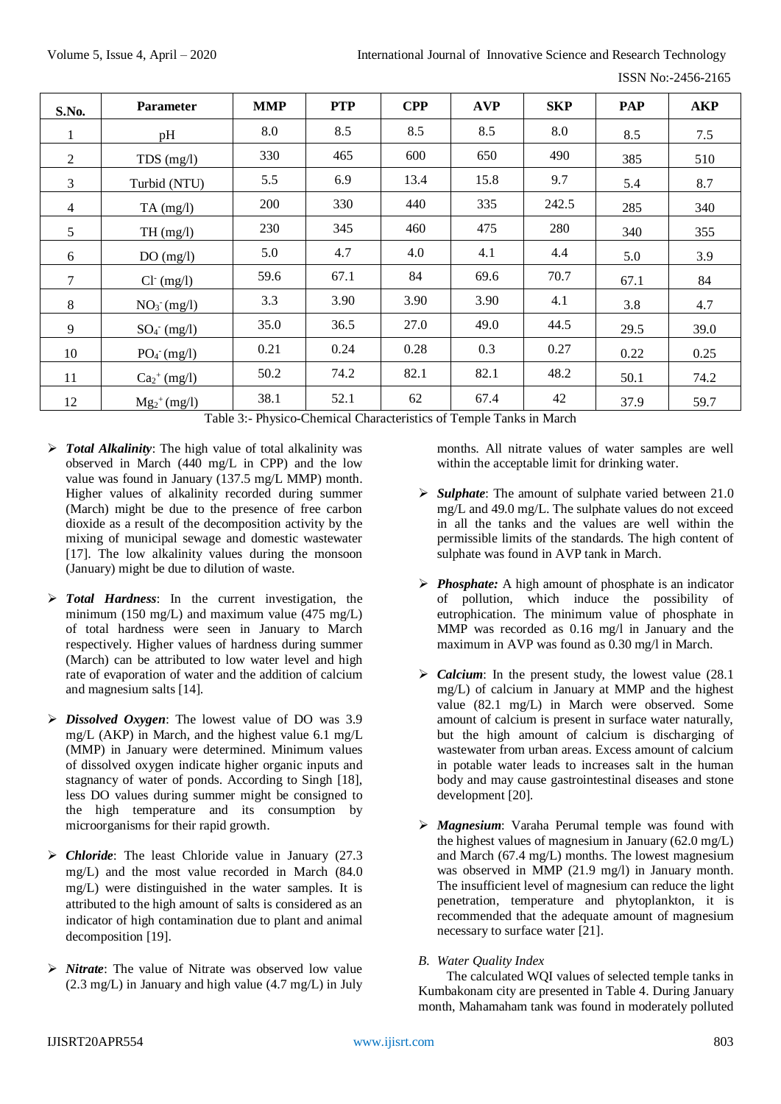ISSN No:-2456-2165

| S.No.          | <b>Parameter</b>           | <b>MMP</b> | <b>PTP</b> | <b>CPP</b> | <b>AVP</b> | <b>SKP</b> | PAP  | <b>AKP</b> |
|----------------|----------------------------|------------|------------|------------|------------|------------|------|------------|
| 1              | pH                         | 8.0        | 8.5        | 8.5        | 8.5        | 8.0        | 8.5  | 7.5        |
| 2              | TDS (mg/l)                 | 330        | 465        | 600        | 650        | 490        | 385  | 510        |
| 3              | Turbid (NTU)               | 5.5        | 6.9        | 13.4       | 15.8       | 9.7        | 5.4  | 8.7        |
| $\overline{4}$ | $TA$ (mg/l)                | 200        | 330        | 440        | 335        | 242.5      | 285  | 340        |
| 5              | TH(mg/l)                   | 230        | 345        | 460        | 475        | 280        | 340  | 355        |
| 6              | DO(mg/l)                   | 5.0        | 4.7        | 4.0        | 4.1        | 4.4        | 5.0  | 3.9        |
| 7              | $Cl- (mg/l)$               | 59.6       | 67.1       | 84         | 69.6       | 70.7       | 67.1 | 84         |
| 8              | $NO3- (mg/l)$              | 3.3        | 3.90       | 3.90       | 3.90       | 4.1        | 3.8  | 4.7        |
| 9              | $SO_4$ <sup>-</sup> (mg/l) | 35.0       | 36.5       | 27.0       | 49.0       | 44.5       | 29.5 | 39.0       |
| 10             | $PO4- (mg/l)$              | 0.21       | 0.24       | 0.28       | 0.3        | 0.27       | 0.22 | 0.25       |
| 11             | $Ca2+ (mg/l)$              | 50.2       | 74.2       | 82.1       | 82.1       | 48.2       | 50.1 | 74.2       |
| 12             | $Mg_2$ <sup>+</sup> (mg/l) | 38.1       | 52.1       | 62         | 67.4       | 42         | 37.9 | 59.7       |

Table 3:- Physico-Chemical Characteristics of Temple Tanks in March

- *Total Alkalinity*: The high value of total alkalinity was observed in March (440 mg/L in CPP) and the low value was found in January (137.5 mg/L MMP) month. Higher values of alkalinity recorded during summer (March) might be due to the presence of free carbon dioxide as a result of the decomposition activity by the mixing of municipal sewage and domestic wastewater [17]. The low alkalinity values during the monsoon (January) might be due to dilution of waste.
- *Total Hardness*: In the current investigation, the minimum (150 mg/L) and maximum value  $(475 \text{ mg/L})$ of total hardness were seen in January to March respectively. Higher values of hardness during summer (March) can be attributed to low water level and high rate of evaporation of water and the addition of calcium and magnesium salts [14].
- *Dissolved Oxygen*: The lowest value of DO was 3.9 mg/L (AKP) in March, and the highest value 6.1 mg/L (MMP) in January were determined. Minimum values of dissolved oxygen indicate higher organic inputs and stagnancy of water of ponds. According to Singh [18], less DO values during summer might be consigned to the high temperature and its consumption by microorganisms for their rapid growth.
- *Chloride*: The least Chloride value in January (27.3 mg/L) and the most value recorded in March (84.0 mg/L) were distinguished in the water samples. It is attributed to the high amount of salts is considered as an indicator of high contamination due to plant and animal decomposition [19].
- *Nitrate*: The value of Nitrate was observed low value (2.3 mg/L) in January and high value (4.7 mg/L) in July

months. All nitrate values of water samples are well within the acceptable limit for drinking water.

- *Sulphate*: The amount of sulphate varied between 21.0 mg/L and 49.0 mg/L. The sulphate values do not exceed in all the tanks and the values are well within the permissible limits of the standards. The high content of sulphate was found in AVP tank in March.
- *Phosphate:* A high amount of phosphate is an indicator of pollution, which induce the possibility of eutrophication. The minimum value of phosphate in MMP was recorded as 0.16 mg/l in January and the maximum in AVP was found as 0.30 mg/l in March.
- *Calcium*: In the present study, the lowest value (28.1) mg/L) of calcium in January at MMP and the highest value (82.1 mg/L) in March were observed. Some amount of calcium is present in surface water naturally, but the high amount of calcium is discharging of wastewater from urban areas. Excess amount of calcium in potable water leads to increases salt in the human body and may cause gastrointestinal diseases and stone development [20].
- *Magnesium*: Varaha Perumal temple was found with the highest values of magnesium in January (62.0 mg/L) and March (67.4 mg/L) months. The lowest magnesium was observed in MMP (21.9 mg/l) in January month. The insufficient level of magnesium can reduce the light penetration, temperature and phytoplankton, it is recommended that the adequate amount of magnesium necessary to surface water [21].
- *B. Water Quality Index*

The calculated WQI values of selected temple tanks in Kumbakonam city are presented in Table 4. During January month, Mahamaham tank was found in moderately polluted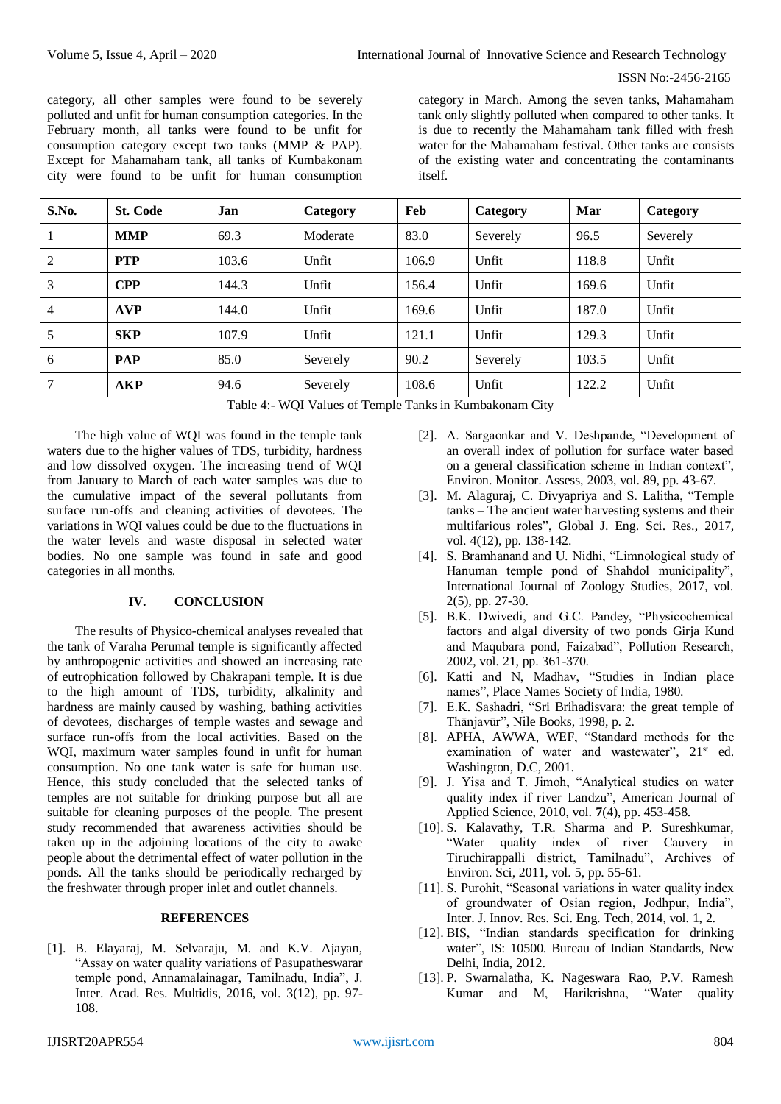category, all other samples were found to be severely polluted and unfit for human consumption categories. In the February month, all tanks were found to be unfit for consumption category except two tanks (MMP & PAP). Except for Mahamaham tank, all tanks of Kumbakonam city were found to be unfit for human consumption

category in March. Among the seven tanks, Mahamaham tank only slightly polluted when compared to other tanks. It is due to recently the Mahamaham tank filled with fresh water for the Mahamaham festival. Other tanks are consists of the existing water and concentrating the contaminants itself.

| S.No. | <b>St. Code</b> | Jan   | Category | Feb   | Category | Mar   | Category |
|-------|-----------------|-------|----------|-------|----------|-------|----------|
|       | <b>MMP</b>      | 69.3  | Moderate | 83.0  | Severely | 96.5  | Severely |
| 2     | <b>PTP</b>      | 103.6 | Unfit    | 106.9 | Unfit    | 118.8 | Unfit    |
| 3     | <b>CPP</b>      | 144.3 | Unfit    | 156.4 | Unfit    | 169.6 | Unfit    |
| 4     | <b>AVP</b>      | 144.0 | Unfit    | 169.6 | Unfit    | 187.0 | Unfit    |
| 5     | <b>SKP</b>      | 107.9 | Unfit    | 121.1 | Unfit    | 129.3 | Unfit    |
| 6     | <b>PAP</b>      | 85.0  | Severely | 90.2  | Severely | 103.5 | Unfit    |
| 7     | <b>AKP</b>      | 94.6  | Severely | 108.6 | Unfit    | 122.2 | Unfit    |

Table 4:- WQI Values of Temple Tanks in Kumbakonam City

The high value of WQI was found in the temple tank waters due to the higher values of TDS, turbidity, hardness and low dissolved oxygen. The increasing trend of WQI from January to March of each water samples was due to the cumulative impact of the several pollutants from surface run-offs and cleaning activities of devotees. The variations in WQI values could be due to the fluctuations in the water levels and waste disposal in selected water bodies. No one sample was found in safe and good categories in all months.

### **IV. CONCLUSION**

The results of Physico-chemical analyses revealed that the tank of Varaha Perumal temple is significantly affected by anthropogenic activities and showed an increasing rate of eutrophication followed by Chakrapani temple. It is due to the high amount of TDS, turbidity, alkalinity and hardness are mainly caused by washing, bathing activities of devotees, discharges of temple wastes and sewage and surface run-offs from the local activities. Based on the WQI, maximum water samples found in unfit for human consumption. No one tank water is safe for human use. Hence, this study concluded that the selected tanks of temples are not suitable for drinking purpose but all are suitable for cleaning purposes of the people. The present study recommended that awareness activities should be taken up in the adjoining locations of the city to awake people about the detrimental effect of water pollution in the ponds. All the tanks should be periodically recharged by the freshwater through proper inlet and outlet channels.

### **REFERENCES**

[1]. B. Elayaraj, M. Selvaraju, M. and K.V. Ajayan, "Assay on water quality variations of Pasupatheswarar temple pond, Annamalainagar, Tamilnadu, India", J. Inter. Acad. Res. Multidis, 2016, vol. 3(12), pp. 97- 108.

- [2]. A. Sargaonkar and V. Deshpande, "Development of an overall index of pollution for surface water based on a general classification scheme in Indian context", Environ. Monitor. Assess, 2003, vol. 89, pp. 43-67.
- [3]. M. Alaguraj, C. Divyapriya and S. Lalitha, "Temple tanks – The ancient water harvesting systems and their multifarious roles", Global J. Eng. Sci. Res., 2017, vol. 4(12), pp. 138-142.
- [4]. S. Bramhanand and U. Nidhi, "Limnological study of Hanuman temple pond of Shahdol municipality", International Journal of Zoology Studies, 2017, vol. 2(5), pp. 27-30.
- [5]. B.K. Dwivedi, and G.C. Pandey, "Physicochemical factors and algal diversity of two ponds Girja Kund and Maqubara pond, Faizabad", Pollution Research, 2002, vol. 21, pp. 361-370.
- [6]. Katti and N, Madhav, "Studies in Indian place names", Place Names Society of India, 1980.
- [7]. E.K. Sashadri, "Sri Brihadisvara: the great temple of Thānjavūr", Nile Books, 1998, p. 2.
- [8]. APHA, AWWA, WEF, "Standard methods for the examination of water and wastewater", 21<sup>st</sup> ed. Washington, D.C, 2001.
- [9]. J. Yisa and T. Jimoh, "Analytical studies on water quality index if river Landzu", American Journal of Applied Science, 2010, vol. **7**(4), pp. 453-458.
- [10]. S. Kalavathy, T.R. Sharma and P. Sureshkumar, "Water quality index of river Cauvery in Tiruchirappalli district, Tamilnadu", Archives of Environ. Sci, 2011, vol. 5, pp. 55-61.
- [11]. S. Purohit, "Seasonal variations in water quality index of groundwater of Osian region, Jodhpur, India", Inter. J. Innov. Res. Sci. Eng. Tech, 2014, vol. 1, 2.
- [12]. BIS, "Indian standards specification for drinking water", IS: 10500. Bureau of Indian Standards, New Delhi, India, 2012.
- [13]. P. Swarnalatha, K. Nageswara Rao, P.V. Ramesh Kumar and M, Harikrishna, "Water quality